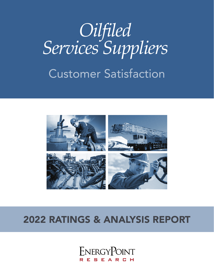# Customer Satisfaction *Oilfiled Services Suppliers*



## 2022 RATINGS & ANALYSIS REPORT

ENERGYPOINT RESEARCH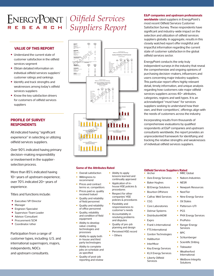*Oilfield Services Suppliers Report* 

#### **VALUE OF THIS REPORT**

- **•** Understand the current state of customer satisfaction in the oilfield services segment
- **•** Obtain detailed information on individual oilfield services suppliers' customer ratings and rankings
- **•** Identify and track strengths and weaknesses among today's oilfield services suppliers
- **•** Know the key satisfaction drivers for customers of oilfield services suppliers

### **PROFILE OF SURVEY RESPONDENTS**

All indicated having "significant experience" in selecting or utilizing oilfield services suppliers.

Over 90% indicated having primary decision-making responsibility or involvement in the supplierselection process.

More than 85% indicated having 10+ years of upstream experience; over 70% indicated 20+ years of experience.

Titles and functions include:

- **•** Executive/VP/Director
- **•** Manager
- **•** Engineer/Specialist
- **•** Supervisor/Team Leader
- **•** Advisor/Consultant
- **•** Procurement/SCM
- **•** Coordinator/other

Participation from a range of customer types, including: U.S. and international supermajors, majors, independents, NOCs and upstream consultants.



#### **Some of the Attributes Rated**

• Ability to apply lessons learned and continually approved • Application of inhouse HSE policies & procedures Respect for other companies' HSE policies & procedures

• Flexibility and responsiveness to customer's needs • Accountability in resolving problems and disputes • Quality of pre-job planning and design • Perceived HSE record

• + Others

- Overall satisfaction • Willingness to
- recommend
- Prices and contract terms vs. competitors
- Prices paid vs. quality received (value)
- Quality and reliability of field personnel
- Quality and reliability of office personnel • Quality, reliability
- and condition of field equipment • Ability to develop
- value-creating technologies and processes
- Ability to apply both in-house and third party technologies
- Ability to complete jobs on schedule and as specified
- Quality of post-job reporting and review

#### **E&P companies and upstream professionals**

**worldwide** rated suppliers in EnergyPoint's most recent Oilfield Services Customer Satisfaction Survey. These respondents have significant and industry-wide impact on the selection and utilization of oilfield services suppliers globally. In aggregate, results in this closely watched report offer insightful and impactful information regarding the current state of customer satisfaction in the global oilfield services sector.

EnergyPoint conducts the only truly independent surveys in the industry that reveal the comprehensive and ongoing opinions of purchasing decision-makers, influencers and users concerning major industry suppliers. This particular report offers highly relevant detail, timely information, and unique analysis regarding how customers rate major oilfield services suppliers across 40+ attributes, categories, regions and well types. It is an acknowledged "must have" for services suppliers seeking to understand how their own, and their competitors', offerings align with the needs of customers across the industry.

Incorporating results from thousands of comprehensive evaluations by qualified respondents at E&P companies and upstream consultants worldwide, the report provides an unprecedented framework for identifying and tracking the relative strengths and weaknesses of individual oilfield services suppliers.

#### **Oilfield Services Suppliers Rated Archer MRC Global**

- 
- Axis Energy Services
- 
- BJ Energy Solutions
- Bourbon Offshore
- Calfrac Well Services
- CGG
- Core Laboratories
- Delmar Systems
- DistributionNOW
- Expro
- Frank's International
- FTS International
- Gordon Technologies
- Halliburton
- InterMoor
- Key Energy Services
- KLX Energy Services
- Liberty Oilfield Services
- Nabors Industries • NESR
	- Newpark Resources
	- NextTier
	- Nine Energy Service
	- Oil States
	- Patterson-UTI
	- PGS
	- PHX Energy Services
	- ProPetro
	- **Services**
- 
- Schlumberger
- Scientific Drilling
- **Tidewater**
- Weatherford International
- Wellbore Integrity Solutions
- Baker Hughes
	- -
		-
	- -
		-
		-
	- Ranger Energy
	- RPC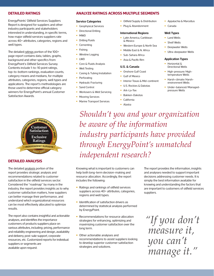#### **DETAILED RATINGS**

EnergyPoints' Oilfield Services Suppliers Report is designed for suppliers and other industry participants and stakeholders interested in understanding, in specific terms, how major oilfield services suppliers rate across 40+ attributes, categories, regions and well types.

The detailed ratings portion of the 100+ page report contains data, tables, graphs, background and other specifics from EnergyPoint's Oilfield Services Survey. Contents include 1-to-10 point ratings, top-to-bottom rankings, evaluation counts, category means and medians, for multiple attributes, categories, regions, well types and applications. The report's methodologies are those used to determine official category winners for EnergyPoint's annual Customer Satisfaction Awards.



#### **DETAILED ANALYSIS**

The detailed analysis portion of the report provides strategic analysis and recommendations related to customer satisfaction in the oilfield services sector. Considered the "roadmap" by many in the industry, the report provides insights as to why customer satisfaction matters, how suppliers can better manage their performance, and understand which organizational resources can be most effectively allocated to optimize results.

The report also contains insightful and actionable analyses, and identifies the importance customers of products suppliers place on various attributes, including: pricing, performance and reliability engineering and design, availability and delivery, post-sale support, corporate resources, etc. Customized reports for individual suppliers or segments are available upon request.

#### **ANALYZE RATINGS ACROSS MULTIPLE SEGMENTS**

#### **Service Categories**

- Geophysical Services
- Directional Drilling
- MWD
- Drilling Fluids
- Cementing
- Fishing
- Wireline Logging
- LWD
- Core & Fluids Analysis
- Well Testing
- Casing & Tubing Installation
- Perforating
- Hydraulic Fracturing
- Sand Control
- Workovers & Well Servicing
- Mooring Services
- Marine Transport Services
- Oilfield Supply & Distribution
- Plug & Abandonment

#### **International Regions**

- Latin America, Caribbean & Mexico
- Western Europe & North Sea
- Middle East & N. Africa
- Sub-Sahara Africa
- Asia & Pacific Rim

#### **U.S. & Canada**

- Onshore Gulf Coast
- Gulf of Mexico
- Interior Texas & Mid-continent
- U.S. Rockies & Dakotas
- Ark-La-Tex
- Bakken-Dakotas
- California
- Alaska
- Appalachia & Marcellus
- Canada

#### **Well Types**

- Land Wells
- **Shelf Wells**
- Deepwater Wells
- Ultra-deepwater Wells

#### **Application Types**

- Horizontal & Directional Wells
- High-pressure/Hightemperature Wells
- Harsh-climate/Harshenvironment Wells
- Under-balanced/Managedpressure Wells

*Shouldn't you and your organization be aware of the information industry participants have provided through EnergyPoint's unmatched independent research?* 

Knowing what is important to customers can help both long-term decision-making and resource allocation. Accordingly, the report includes the following:

- Ratings and rankings of oilfield services suppliers across 40+ attributes, categories, regions and well types.
- Identification of satisfaction drivers as determined by statistical analysis performed by EnergyPoint.
- Recommendations for resource allocation strategies for enhancing, optimizing and maximizing customer satisfaction over the long term.
- Other actionable analyses and recommendations to assist suppliers looking to develop superior customer satisfaction strategies and solutions.

The report provides the information, insights and analyses needed to support important decisions addressing customer needs. It is simply the best information available for knowing and understanding the factors that are important to customers of oilfield services suppliers.

*"If you don't measure it, you can't manage it."*